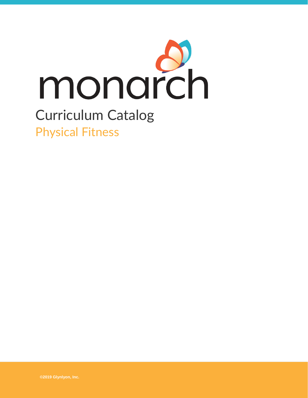

# Curriculum Catalog Physical Fitness

**©2019 Glynlyon, Inc.**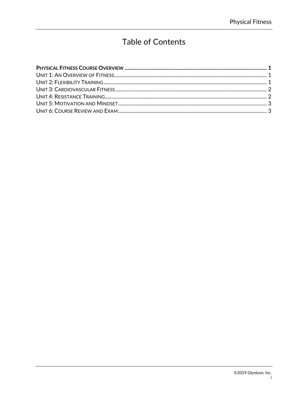## **Table of Contents**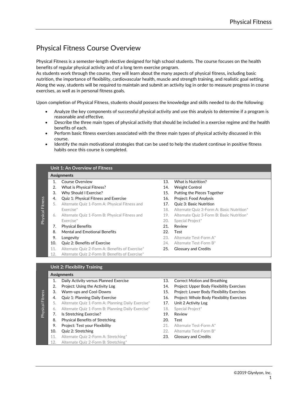### <span id="page-2-0"></span>Physical Fitness Course Overview

Physical Fitness is a semester-length elective designed for high school students. The course focuses on the health benefits of regular physical activity and of a long term exercise program.

As students work through the course, they will learn about the many aspects of physical fitness, including basic nutrition, the importance of flexibility, cardiovascular health, muscle and strength training, and realistic goal setting. Along the way, students will be required to maintain and submit an activity log in order to measure progress in course exercises, as well as in personal fitness goals.

Upon completion of Physical Fitness, students should possess the knowledge and skills needed to do the following:

- Analyze the key components of successful physical activity and use this analysis to determine if a program is reasonable and effective.
- Describe the three main types of physical activity that should be included in a exercise regime and the health benefits of each.
- Perform basic fitness exercises associated with the three main types of physical activity discussed in this course.
- Identify the main motivational strategies that can be used to help the student continue in positive fitness habits once this course is completed.

#### <span id="page-2-1"></span>**Unit 1: An Overview of Fitness**

#### **Assignments**

Physical Fitness

Physical Fitness

Physical Fitness

- 
- 2. What is Physical Fitness? 14. Weight Control
- 
- 4. Quiz 1: Physical Fitness and Exercise 16. Project: Food Analysis
- 5. Alternate Quiz 1-Form A: Physical Fitness and 17. Quiz 3: Basic Nutrition
- 6. Alternate Quiz 1-Form B: Physical Fitness and 19. Alternate Quiz 3-Form B: Basic Nutrition\* Exercise\* 20. Special Project\*
- 7. Physical Benefits 21. Review
- 8. Mental and Emotional Benefits 22. Test
- 
- 10. Quiz 2: Benefits of Exercise 24. Alternate Test-Form B\*
- 11. Alternate Quiz 2-Form A: Benefits of Exercise\* 25. Glossary and Credits
- 12. Alternate Quiz 2-Form B: Benefits of Exercise\*
- 1. Course Overview 13. What is Nutrition?
	-
- 3. Why Should I Exercise? 15. Putting the Pieces Together
	-
	-
	- Exercise\* 18. Alternate Quiz 3-Form A: Basic Nutrition\*
		-
		-
		-
		-
- 9. Longevity 23. Alternate Test-Form A\*
	-
	-

<span id="page-2-2"></span>**Unit 2: Flexibility Training**

#### **Assignments**

- 1. Daily Activity versus Planned Exercise 13. Correct Motion and Breathing 2. Project: Using the Activity Log 14. Project: Upper Body Flexibility Exercises
- 
- 
- 5. Alternate Quiz 1-Form A: Planning Daily Exercise\* 17. Unit 2 Activity Log
- 6. Alternate Quiz 1-Form B: Planning Daily Exercise\* 18. Special Project\*
- Physical Fitness 7. Is Stretching Exercise? 19. Review
	- 8. Physical Benefits of Stretching 20. Test
	- 9. Project: Test your Flexibility and the control of the control of the Past Porm A\*
	-
	- 11. Alternate Quiz 2-Form A: Stretching\* 23. Glossary and Credits
	- 12. Alternate Quiz 2-Form B: Stretching\*
- 
- 
- 3. Warm-ups and Cool-Downs 15. Project: Lower Body Flexibility Exercises
- 4. Quiz 1: Planning Daily Exercise 16. Project: Whole Body Flexibility Exercises
	-
	-
	-
	-
	-
- 10. Quiz 2: Stretching **22.** Alternate Test-Form B\*
	-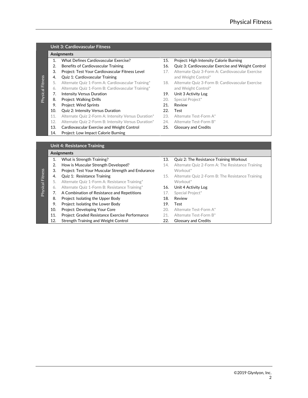### <span id="page-3-0"></span>**Unit 3: Cardiovascular Fitness**

#### **Assignments**

Physical Fitness

Physical Fitness

- 
- 
- 
- 4. **Quiz 1: Cardiovascular Training and Meight Control**\*
- 
- 6. Alternate Quiz 1-Form B: Cardiovascular Training\* and Weight Control\*
- 7. Intensity Versus Duration 19. Unit 3 Activity Log
- 8. Project: Walking Drills **20.** Special Project\*
- 9. Project: Wind Sprints 21. Review
- 10. Quiz 2: Intensity Versus Duration 22. Test
- 11. Alternate Quiz 2-Form A: Intensity Versus Duration\* 23. Alternate Test-Form A\*
- 12. Alternate Quiz 2-Form B: Intensity Versus Duration\* 24. Alternate Test-Form B\*
- 13. Cardiovascular Exercise and Weight Control 25. Glossary and Credits
- 14. Project: Low Impact Calorie Burning
- 1. What Defines Cardiovascular Exercise? 15. Project: High Intensity Calorie Burning
- 2. Benefits of Cardiovascular Training 16. Quiz 3: Cardiovascular Exercise and Weight Control
- 3. Project: Test Your Cardiovascular Fitness Level 17. Alternate Quiz 3-Form A: Cardiovascular Exercise
- 5. Alternate Quiz 1-Form A: Cardiovascular Training\* 18. Alternate Quiz 3-Form B: Cardiovascular Exercise
	-
	-
	-
	-
	-
	-
	-

#### <span id="page-3-1"></span>**Unit 4: Resistance Training**

#### **Assignments**

1. What is Strength Training? 13. Quiz 2: The Resistance Training Workout 2. How is Muscular Strength Developed? 14. Alternate Quiz 2-Form A: The Resistance Training 3. Project: Test Your Muscular Strength and Endurance Workout\* Physical Fitness Physical Fitness 4. **Quiz 1: Resistance Training** 15. Alternate Quiz 2-Form B: The Resistance Training 5. Alternate Quiz 1-Form A: Resistance Training\* Workout\* 6. Alternate Quiz 1-Form B: Resistance Training\* 16. Unit 4 Activity Log 7. A Combination of Resistance and Repetitions 17. Special Project\* 8. Project: Isolating the Upper Body 18. Review 9. Project: Isolating the Lower Body 19. Test 10. Project: Developing Your Core 20. Alternate Test-Form A\* 11. Project: Graded Resistance Exercise Performance 21. Alternate Test-Form B\* 12. Strength Training and Weight Control 22. Glossary and Credits

- 
- 
- 
- 
- 
- 
- 
- 
-